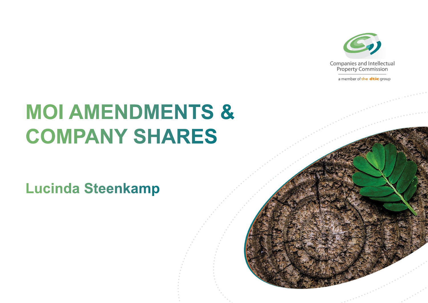

a member of the dtic group

## **MOI AMENDMENTS & COMPANY SHARES**

**Lucinda Steenkamp**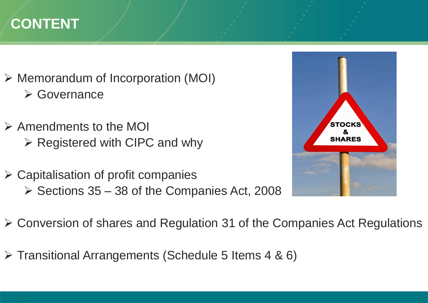### **CONTENT**

- $\triangleright$  Memorandum of Incorporation (MOI) **≻ Governance**
- $\triangleright$  Amendments to the MOI  $\triangleright$  Registered with CIPC and why
- $\triangleright$  Capitalisation of profit companies  $\triangleright$  Sections 35 – 38 of the Companies Act, 2008



- Conversion of shares and Regulation 31 of the Companies Act Regulations
- $\triangleright$  Transitional Arrangements (Schedule 5 Items 4 & 6)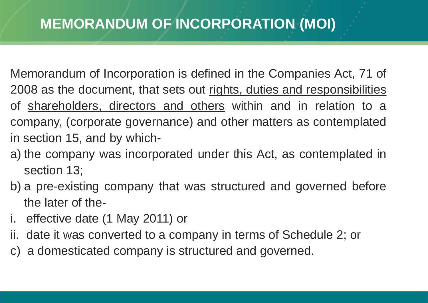### **MEMORANDUM OF INCORPORATION (MOI)**

- Memorandum of Incorporation is defined in the Companies Act, 71 of 2008 as the document, that sets out rights, duties and responsibilities of shareholders, directors and others within and in relation to a company, (corporate governance) and other matters as contemplated in section 15, and by which-
- a) the company was incorporated under this Act, as contemplated in section 13;
- b) a pre-existing company that was structured and governed before the later of the-
- i. effective date (1 May 2011) or
- ii. date it was converted to a company in terms of Schedule 2; or
- c) a domesticated company is structured and governed.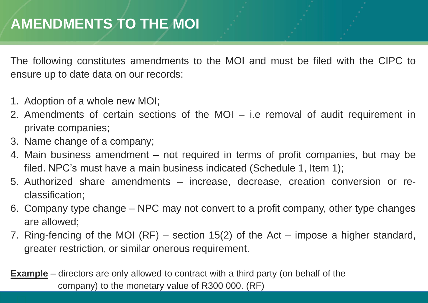### **AMENDMENTS TO THE MOI**

The following constitutes amendments to the MOI and must be filed with the CIPC to ensure up to date data on our records:

- 1. Adoption of a whole new MOI;
- 2. Amendments of certain sections of the MOI i.e removal of audit requirement in private companies;
- 3. Name change of a company;
- 4. Main business amendment not required in terms of profit companies, but may be filed. NPC's must have a main business indicated (Schedule 1, Item 1);
- 5. Authorized share amendments increase, decrease, creation conversion or reclassification;
- 6. Company type change NPC may not convert to a profit company, other type changes are allowed;
- 7. Ring-fencing of the MOI (RF) section 15(2) of the Act impose a higher standard, greater restriction, or similar onerous requirement.

**Example** – directors are only allowed to contract with a third party (on behalf of the company) to the monetary value of R300 000. (RF)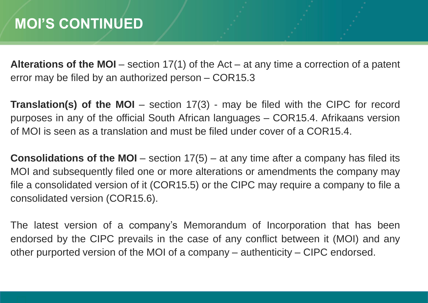**Alterations of the MOI** – section 17(1) of the Act – at any time a correction of a patent error may be filed by an authorized person – COR15.3

**Translation(s) of the MOI** – section 17(3) - may be filed with the CIPC for record purposes in any of the official South African languages – COR15.4. Afrikaans version of MOI is seen as a translation and must be filed under cover of a COR15.4.

**Consolidations of the MOI** – section 17(5) – at any time after a company has filed its MOI and subsequently filed one or more alterations or amendments the company may file a consolidated version of it (COR15.5) or the CIPC may require a company to file a consolidated version (COR15.6).

The latest version of a company's Memorandum of Incorporation that has been endorsed by the CIPC prevails in the case of any conflict between it (MOI) and any other purported version of the MOI of a company – authenticity – CIPC endorsed.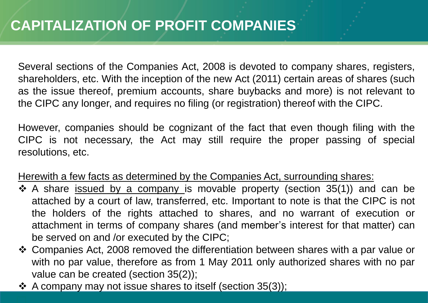Several sections of the Companies Act, 2008 is devoted to company shares, registers, shareholders, etc. With the inception of the new Act (2011) certain areas of shares (such as the issue thereof, premium accounts, share buybacks and more) is not relevant to the CIPC any longer, and requires no filing (or registration) thereof with the CIPC.

However, companies should be cognizant of the fact that even though filing with the CIPC is not necessary, the Act may still require the proper passing of special resolutions, etc.

Herewith a few facts as determined by the Companies Act, surrounding shares:

- $\div$  A share issued by a company is movable property (section 35(1)) and can be attached by a court of law, transferred, etc. Important to note is that the CIPC is not the holders of the rights attached to shares, and no warrant of execution or attachment in terms of company shares (and member's interest for that matter) can be served on and /or executed by the CIPC;
- Companies Act, 2008 removed the differentiation between shares with a par value or with no par value, therefore as from 1 May 2011 only authorized shares with no par value can be created (section 35(2));
- $\div$  A company may not issue shares to itself (section 35(3));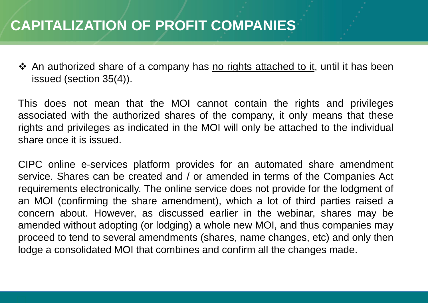#### **CAPITALIZATION OF PROFIT COMPANIES**

❖ An authorized share of a company has no rights attached to it, until it has been issued (section 35(4)).

This does not mean that the MOI cannot contain the rights and privileges associated with the authorized shares of the company, it only means that these rights and privileges as indicated in the MOI will only be attached to the individual share once it is issued.

CIPC online e-services platform provides for an automated share amendment service. Shares can be created and / or amended in terms of the Companies Act requirements electronically. The online service does not provide for the lodgment of an MOI (confirming the share amendment), which a lot of third parties raised a concern about. However, as discussed earlier in the webinar, shares may be amended without adopting (or lodging) a whole new MOI, and thus companies may proceed to tend to several amendments (shares, name changes, etc) and only then lodge a consolidated MOI that combines and confirm all the changes made.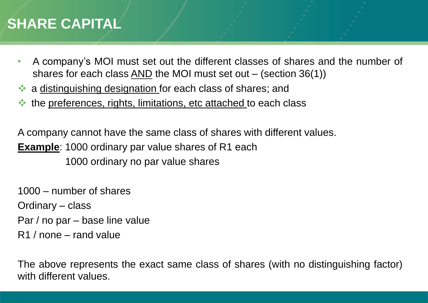#### **SHARE CAPITAL**

- A company's MOI must set out the different classes of shares and the number of shares for each class  $\overline{AND}$  the MOI must set out – (section 36(1))
- a distinguishing designation for each class of shares; and
- the preferences, rights, limitations, etc attached to each class

A company cannot have the same class of shares with different values. **Example**: 1000 ordinary par value shares of R1 each 1000 ordinary no par value shares

1000 – number of shares Ordinary – class Par / no par – base line value R1 / none – rand value

The above represents the exact same class of shares (with no distinguishing factor) with different values.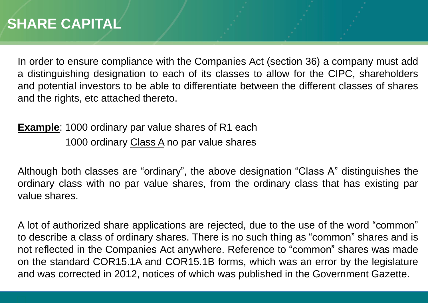In order to ensure compliance with the Companies Act (section 36) a company must add a distinguishing designation to each of its classes to allow for the CIPC, shareholders and potential investors to be able to differentiate between the different classes of shares and the rights, etc attached thereto.

**Example**: 1000 ordinary par value shares of R1 each 1000 ordinary Class A no par value shares

Although both classes are "ordinary", the above designation "Class A" distinguishes the ordinary class with no par value shares, from the ordinary class that has existing par value shares.

A lot of authorized share applications are rejected, due to the use of the word "common" to describe a class of ordinary shares. There is no such thing as "common" shares and is not reflected in the Companies Act anywhere. Reference to "common" shares was made on the standard COR15.1A and COR15.1B forms, which was an error by the legislature and was corrected in 2012, notices of which was published in the Government Gazette.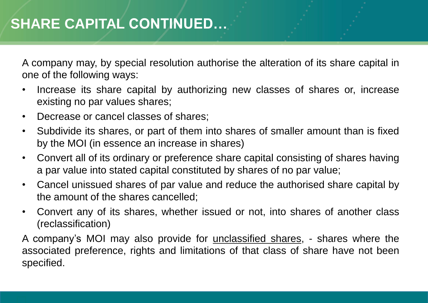A company may, by special resolution authorise the alteration of its share capital in one of the following ways:

- Increase its share capital by authorizing new classes of shares or, increase existing no par values shares;
- Decrease or cancel classes of shares;
- Subdivide its shares, or part of them into shares of smaller amount than is fixed by the MOI (in essence an increase in shares)
- Convert all of its ordinary or preference share capital consisting of shares having a par value into stated capital constituted by shares of no par value;
- Cancel unissued shares of par value and reduce the authorised share capital by the amount of the shares cancelled;
- Convert any of its shares, whether issued or not, into shares of another class (reclassification)

A company's MOI may also provide for unclassified shares, - shares where the associated preference, rights and limitations of that class of share have not been specified.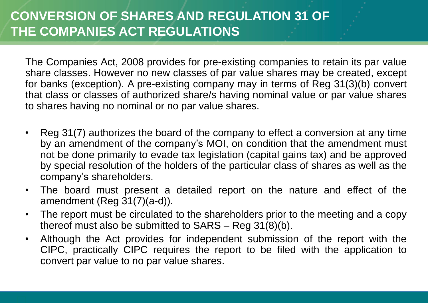The Companies Act, 2008 provides for pre-existing companies to retain its par value share classes. However no new classes of par value shares may be created, except for banks (exception). A pre-existing company may in terms of Reg 31(3)(b) convert that class or classes of authorized share/s having nominal value or par value shares to shares having no nominal or no par value shares.

- Reg 31(7) authorizes the board of the company to effect a conversion at any time by an amendment of the company's MOI, on condition that the amendment must not be done primarily to evade tax legislation (capital gains tax) and be approved by special resolution of the holders of the particular class of shares as well as the company's shareholders.
- The board must present a detailed report on the nature and effect of the amendment (Reg 31(7)(a-d)).
- The report must be circulated to the shareholders prior to the meeting and a copy thereof must also be submitted to SARS – Reg 31(8)(b).
- Although the Act provides for independent submission of the report with the CIPC, practically CIPC requires the report to be filed with the application to convert par value to no par value shares.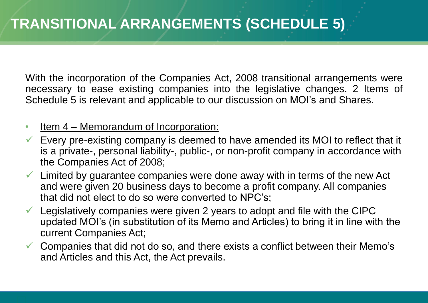With the incorporation of the Companies Act, 2008 transitional arrangements were necessary to ease existing companies into the legislative changes. 2 Items of Schedule 5 is relevant and applicable to our discussion on MOI's and Shares.

- Item 4 Memorandum of Incorporation:
- Every pre-existing company is deemed to have amended its MOI to reflect that it is a private-, personal liability-, public-, or non-profit company in accordance with the Companies Act of 2008;
- $\checkmark$  Limited by guarantee companies were done away with in terms of the new Act and were given 20 business days to become a profit company. All companies that did not elect to do so were converted to NPC's;
- $\checkmark$  Legislatively companies were given 2 years to adopt and file with the CIPC updated MOI's (in substitution of its Memo and Articles) to bring it in line with the current Companies Act;
- $\checkmark$  Companies that did not do so, and there exists a conflict between their Memo's and Articles and this Act, the Act prevails.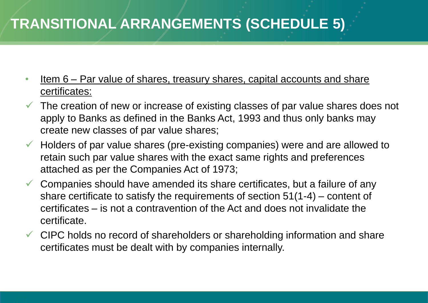### **TRANSITIONAL ARRANGEMENTS (SCHEDULE 5)**

- Item 6 Par value of shares, treasury shares, capital accounts and share certificates:
- $\checkmark$  The creation of new or increase of existing classes of par value shares does not apply to Banks as defined in the Banks Act, 1993 and thus only banks may create new classes of par value shares;
- $\checkmark$  Holders of par value shares (pre-existing companies) were and are allowed to retain such par value shares with the exact same rights and preferences attached as per the Companies Act of 1973;
- $\checkmark$  Companies should have amended its share certificates, but a failure of any share certificate to satisfy the requirements of section 51(1-4) – content of certificates – is not a contravention of the Act and does not invalidate the certificate.
- $\checkmark$  CIPC holds no record of shareholders or shareholding information and share certificates must be dealt with by companies internally.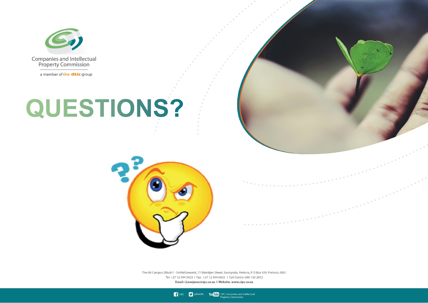

a member of the dtic group

# QUESTIONS?



The dti Campus (Block F - Entfutfukweni), 77 Meintjies Street, Sunnyside, Pretoria, P O Box 429, Pretoria, 0001 Tel: +27 12 394 5423 | Fax: +27 12 394 6423 | Call Centre: 086 100 2472 Email: LLesejane@cipc.co.za | Website. www.cipc.co.za